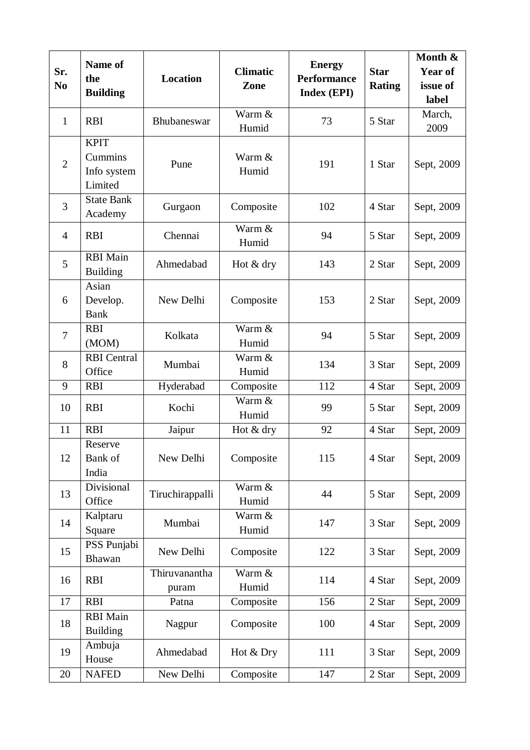| Sr.<br>N <sub>0</sub> | Name of<br>the<br><b>Building</b>                | <b>Location</b>        | <b>Climatic</b><br>Zone | <b>Energy</b><br><b>Performance</b><br><b>Index (EPI)</b> | <b>Star</b><br><b>Rating</b> | Month &<br>Year of<br>issue of<br>label |
|-----------------------|--------------------------------------------------|------------------------|-------------------------|-----------------------------------------------------------|------------------------------|-----------------------------------------|
| $\mathbf{1}$          | <b>RBI</b>                                       | Bhubaneswar            | Warm &<br>Humid         | 73                                                        | 5 Star                       | March,<br>2009                          |
| $\overline{2}$        | <b>KPIT</b><br>Cummins<br>Info system<br>Limited | Pune                   | Warm &<br>Humid         | 191                                                       | 1 Star                       | Sept, 2009                              |
| 3                     | <b>State Bank</b><br>Academy                     | Gurgaon                | Composite               | 102                                                       | 4 Star                       | Sept, 2009                              |
| $\overline{4}$        | <b>RBI</b>                                       | Chennai                | Warm &<br>Humid         | 94                                                        | 5 Star                       | Sept, 2009                              |
| 5                     | <b>RBI</b> Main<br><b>Building</b>               | Ahmedabad              | Hot & dry               | 143                                                       | 2 Star                       | Sept, 2009                              |
| 6                     | Asian<br>Develop.<br><b>Bank</b>                 | New Delhi              | Composite               | 153                                                       | 2 Star                       | Sept, 2009                              |
| $\overline{7}$        | <b>RBI</b><br>(MOM)                              | Kolkata                | Warm &<br>Humid         | 94                                                        | 5 Star                       | Sept, 2009                              |
| 8                     | <b>RBI</b> Central<br>Office                     | Mumbai                 | Warm &<br>Humid         | 134                                                       | 3 Star                       | Sept, 2009                              |
| 9                     | <b>RBI</b>                                       | Hyderabad              | Composite               | 112                                                       | 4 Star                       | Sept, 2009                              |
| 10                    | <b>RBI</b>                                       | Kochi                  | Warm &<br>Humid         | 99                                                        | 5 Star                       | Sept, 2009                              |
| 11                    | <b>RBI</b>                                       | Jaipur                 | Hot & dry               | 92                                                        | 4 Star                       | Sept, 2009                              |
| 12                    | Reserve<br>Bank of<br>India                      | New Delhi              | Composite               | 115                                                       | 4 Star                       | Sept, 2009                              |
| 13                    | Divisional<br>Office                             | Tiruchirappalli        | Warm &<br>Humid         | 44                                                        | 5 Star                       | Sept, 2009                              |
| 14                    | Kalptaru<br>Square                               | Mumbai                 | Warm &<br>Humid         | 147                                                       | 3 Star                       | Sept, 2009                              |
| 15                    | PSS Punjabi<br>Bhawan                            | New Delhi              | Composite               | 122                                                       | 3 Star                       | Sept, 2009                              |
| 16                    | <b>RBI</b>                                       | Thiruvanantha<br>puram | Warm &<br>Humid         | 114                                                       | 4 Star                       | Sept, 2009                              |
| 17                    | <b>RBI</b>                                       | Patna                  | Composite               | 156                                                       | 2 Star                       | Sept, 2009                              |
| 18                    | <b>RBI</b> Main<br><b>Building</b>               | Nagpur                 | Composite               | 100                                                       | 4 Star                       | Sept, 2009                              |
| 19                    | Ambuja<br>House                                  | Ahmedabad              | Hot & Dry               | 111                                                       | 3 Star                       | Sept, 2009                              |
| 20                    | <b>NAFED</b>                                     | New Delhi              | Composite               | 147                                                       | 2 Star                       | Sept, 2009                              |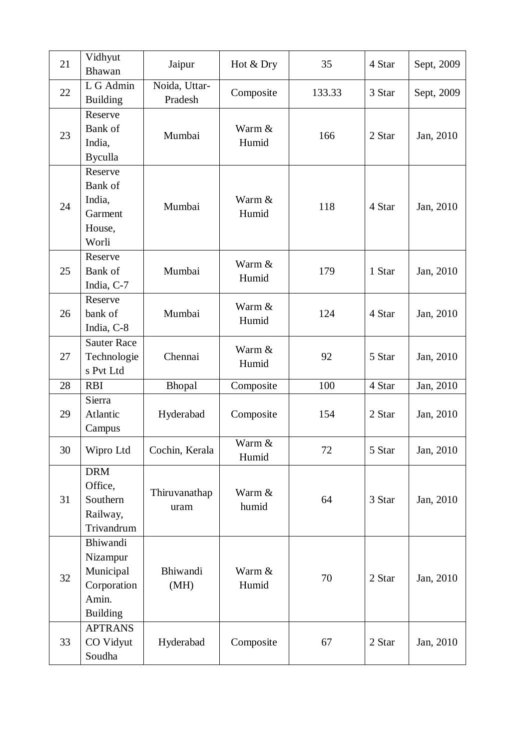| 21 | Vidhyut<br><b>Bhawan</b>                                                     | Jaipur                   | Hot & Dry       | 35     | 4 Star | Sept, 2009 |
|----|------------------------------------------------------------------------------|--------------------------|-----------------|--------|--------|------------|
| 22 | L G Admin<br><b>Building</b>                                                 | Noida, Uttar-<br>Pradesh | Composite       | 133.33 | 3 Star | Sept, 2009 |
| 23 | Reserve<br>Bank of<br>India,<br><b>Byculla</b>                               | Mumbai                   | Warm &<br>Humid | 166    | 2 Star | Jan, 2010  |
| 24 | Reserve<br>Bank of<br>India,<br>Garment<br>House,<br>Worli                   | Mumbai                   | Warm &<br>Humid | 118    | 4 Star | Jan, 2010  |
| 25 | Reserve<br>Bank of<br>India, C-7                                             | Mumbai                   | Warm &<br>Humid | 179    | 1 Star | Jan, 2010  |
| 26 | Reserve<br>bank of<br>India, C-8                                             | Mumbai                   | Warm &<br>Humid | 124    | 4 Star | Jan, 2010  |
| 27 | <b>Sauter Race</b><br>Technologie<br>s Pvt Ltd                               | Chennai                  | Warm &<br>Humid | 92     | 5 Star | Jan, 2010  |
| 28 | <b>RBI</b>                                                                   | Bhopal                   | Composite       | 100    | 4 Star | Jan, 2010  |
| 29 | Sierra<br>Atlantic<br>Campus                                                 | Hyderabad                | Composite       | 154    | 2 Star | Jan, 2010  |
| 30 | Wipro Ltd                                                                    | Cochin, Kerala           | Warm &<br>Humid | $72\,$ | 5 Star | Jan, 2010  |
| 31 | <b>DRM</b><br>Office,<br>Southern<br>Railway,<br>Trivandrum                  | Thiruvanathap<br>uram    | Warm &<br>humid | 64     | 3 Star | Jan, 2010  |
| 32 | Bhiwandi<br>Nizampur<br>Municipal<br>Corporation<br>Amin.<br><b>Building</b> | Bhiwandi<br>(MH)         | Warm &<br>Humid | 70     | 2 Star | Jan, 2010  |
| 33 | <b>APTRANS</b><br>CO Vidyut<br>Soudha                                        | Hyderabad                | Composite       | 67     | 2 Star | Jan, 2010  |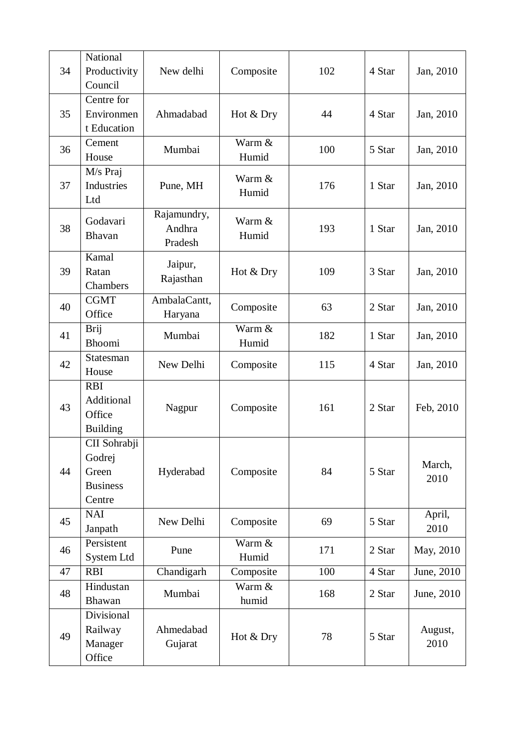| 34 | National<br>Productivity<br>Council                          | New delhi                        | Composite       | 102 | 4 Star | Jan, 2010       |
|----|--------------------------------------------------------------|----------------------------------|-----------------|-----|--------|-----------------|
| 35 | Centre for<br>Environmen<br>t Education                      | Ahmadabad                        | Hot & Dry       | 44  | 4 Star | Jan, 2010       |
| 36 | Cement<br>House                                              | Mumbai                           | Warm &<br>Humid | 100 | 5 Star | Jan, 2010       |
| 37 | M/s Praj<br>Industries<br>Ltd                                | Pune, MH                         | Warm &<br>Humid | 176 | 1 Star | Jan, 2010       |
| 38 | Godavari<br><b>Bhavan</b>                                    | Rajamundry,<br>Andhra<br>Pradesh | Warm &<br>Humid | 193 | 1 Star | Jan, 2010       |
| 39 | Kamal<br>Ratan<br>Chambers                                   | Jaipur,<br>Rajasthan             | Hot & Dry       | 109 | 3 Star | Jan, 2010       |
| 40 | <b>CGMT</b><br>Office                                        | AmbalaCantt,<br>Haryana          | Composite       | 63  | 2 Star | Jan, 2010       |
| 41 | Brij<br>Bhoomi                                               | Mumbai                           | Warm &<br>Humid | 182 | 1 Star | Jan, 2010       |
| 42 | Statesman<br>House                                           | New Delhi                        | Composite       | 115 | 4 Star | Jan, 2010       |
| 43 | <b>RBI</b><br>Additional<br>Office<br><b>Building</b>        | Nagpur                           | Composite       | 161 | 2 Star | Feb, 2010       |
| 44 | CII Sohrabji<br>Godrej<br>Green<br><b>Business</b><br>Centre | Hyderabad                        | Composite       | 84  | 5 Star | March,<br>2010  |
| 45 | <b>NAI</b><br>Janpath                                        | New Delhi                        | Composite       | 69  | 5 Star | April,<br>2010  |
| 46 | Persistent<br>System Ltd                                     | Pune                             | Warm &<br>Humid | 171 | 2 Star | May, 2010       |
| 47 | <b>RBI</b>                                                   | Chandigarh                       | Composite       | 100 | 4 Star | June, 2010      |
| 48 | Hindustan<br><b>Bhawan</b>                                   | Mumbai                           | Warm &<br>humid | 168 | 2 Star | June, 2010      |
| 49 | Divisional<br>Railway<br>Manager<br>Office                   | Ahmedabad<br>Gujarat             | Hot & Dry       | 78  | 5 Star | August,<br>2010 |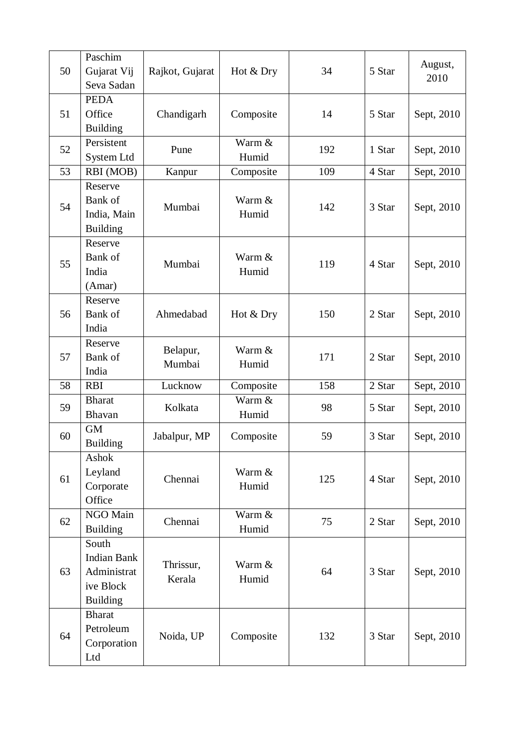| 50 | Paschim<br>Gujarat Vij<br>Seva Sadan                                       | Rajkot, Gujarat     | Hot & Dry       | 34  | 5 Star | August,<br>2010 |
|----|----------------------------------------------------------------------------|---------------------|-----------------|-----|--------|-----------------|
| 51 | <b>PEDA</b><br>Office<br><b>Building</b>                                   | Chandigarh          | Composite       | 14  | 5 Star | Sept, 2010      |
| 52 | Persistent<br>System Ltd                                                   | Pune                | Warm &<br>Humid | 192 | 1 Star | Sept, 2010      |
| 53 | RBI (MOB)                                                                  | Kanpur              | Composite       | 109 | 4 Star | Sept, 2010      |
| 54 | Reserve<br>Bank of<br>India, Main<br><b>Building</b>                       | Mumbai              | Warm &<br>Humid | 142 | 3 Star | Sept, 2010      |
| 55 | Reserve<br>Bank of<br>India<br>(Amar)                                      | Mumbai              | Warm &<br>Humid | 119 | 4 Star | Sept, 2010      |
| 56 | Reserve<br>Bank of<br>India                                                | Ahmedabad           | Hot & Dry       | 150 | 2 Star | Sept, 2010      |
| 57 | Reserve<br>Bank of<br>India                                                | Belapur,<br>Mumbai  | Warm &<br>Humid | 171 | 2 Star | Sept, 2010      |
| 58 | <b>RBI</b>                                                                 | Lucknow             | Composite       | 158 | 2 Star | Sept, 2010      |
| 59 | <b>Bharat</b><br><b>Bhavan</b>                                             | Kolkata             | Warm &<br>Humid | 98  | 5 Star | Sept, 2010      |
| 60 | <b>GM</b><br><b>Building</b>                                               | Jabalpur, MP        | Composite       | 59  | 3 Star | Sept, 2010      |
| 61 | Ashok<br>Leyland<br>Corporate<br>Office                                    | Chennai             | Warm &<br>Humid | 125 | 4 Star | Sept, 2010      |
| 62 | NGO Main<br><b>Building</b>                                                | Chennai             | Warm &<br>Humid | 75  | 2 Star | Sept, 2010      |
| 63 | South<br><b>Indian Bank</b><br>Administrat<br>ive Block<br><b>Building</b> | Thrissur,<br>Kerala | Warm &<br>Humid | 64  | 3 Star | Sept, 2010      |
| 64 | <b>Bharat</b><br>Petroleum<br>Corporation<br>Ltd                           | Noida, UP           | Composite       | 132 | 3 Star | Sept, 2010      |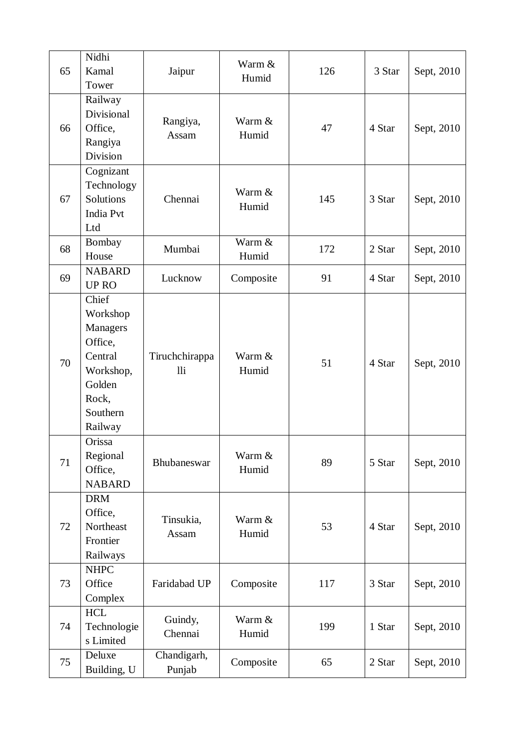| 65 | Nidhi<br>Kamal                                                                                             | Jaipur                | Warm &<br>Humid | 126 | 3 Star | Sept, 2010 |
|----|------------------------------------------------------------------------------------------------------------|-----------------------|-----------------|-----|--------|------------|
|    | Tower                                                                                                      |                       |                 |     |        |            |
| 66 | Railway<br>Divisional<br>Office,<br>Rangiya<br>Division                                                    | Rangiya,<br>Assam     | Warm &<br>Humid | 47  | 4 Star | Sept, 2010 |
| 67 | Cognizant<br>Technology<br>Solutions<br><b>India Pvt</b><br>Ltd                                            | Chennai               | Warm &<br>Humid | 145 | 3 Star | Sept, 2010 |
| 68 | Bombay<br>House                                                                                            | Mumbai                | Warm &<br>Humid | 172 | 2 Star | Sept, 2010 |
| 69 | <b>NABARD</b><br><b>UPRO</b>                                                                               | Lucknow               | Composite       | 91  | 4 Star | Sept, 2010 |
| 70 | Chief<br>Workshop<br>Managers<br>Office,<br>Central<br>Workshop,<br>Golden<br>Rock,<br>Southern<br>Railway | Tiruchchirappa<br>lli | Warm &<br>Humid | 51  | 4 Star | Sept, 2010 |
| 71 | Orissa<br>Regional<br>Office,<br><b>NABARD</b>                                                             | Bhubaneswar           | Warm &<br>Humid | 89  | 5 Star | Sept, 2010 |
| 72 | <b>DRM</b><br>Office,<br>Northeast<br>Frontier<br>Railways                                                 | Tinsukia,<br>Assam    | Warm &<br>Humid | 53  | 4 Star | Sept, 2010 |
| 73 | <b>NHPC</b><br>Office<br>Complex                                                                           | Faridabad UP          | Composite       | 117 | 3 Star | Sept, 2010 |
| 74 | <b>HCL</b><br>Technologie<br>s Limited                                                                     | Guindy,<br>Chennai    | Warm &<br>Humid | 199 | 1 Star | Sept, 2010 |
| 75 | Deluxe<br>Building, U                                                                                      | Chandigarh,<br>Punjab | Composite       | 65  | 2 Star | Sept, 2010 |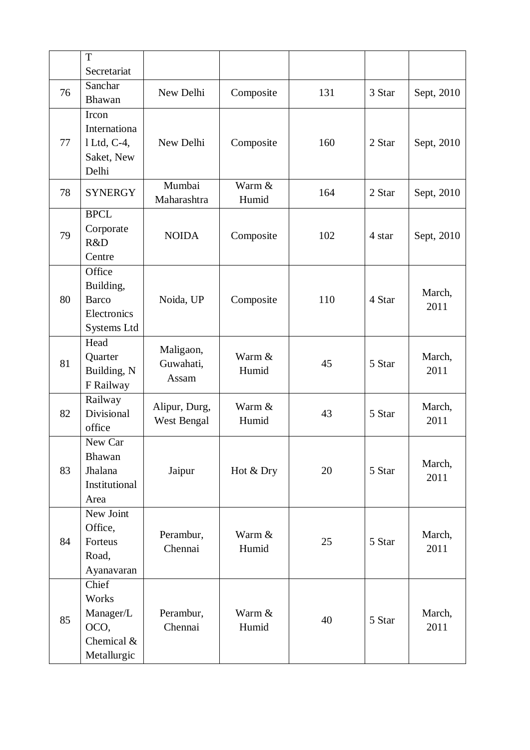|    | T<br>Secretariat                                                  |                                 |                 |     |        |                |
|----|-------------------------------------------------------------------|---------------------------------|-----------------|-----|--------|----------------|
| 76 | Sanchar<br>Bhawan                                                 | New Delhi                       | Composite       | 131 | 3 Star | Sept, 2010     |
| 77 | Ircon<br>Internationa<br>1 Ltd, C-4,<br>Saket, New<br>Delhi       | New Delhi                       | Composite       | 160 | 2 Star | Sept, 2010     |
| 78 | <b>SYNERGY</b>                                                    | Mumbai<br>Maharashtra           | Warm &<br>Humid | 164 | 2 Star | Sept, 2010     |
| 79 | <b>BPCL</b><br>Corporate<br>R&D<br>Centre                         | <b>NOIDA</b>                    | Composite       | 102 | 4 star | Sept, 2010     |
| 80 | Office<br>Building,<br><b>Barco</b><br>Electronics<br>Systems Ltd | Noida, UP                       | Composite       | 110 | 4 Star | March,<br>2011 |
| 81 | Head<br>Quarter<br>Building, N<br>F Railway                       | Maligaon,<br>Guwahati,<br>Assam | Warm &<br>Humid | 45  | 5 Star | March,<br>2011 |
| 82 | Railway<br>Divisional<br>office                                   | Alipur, Durg,<br>West Bengal    | Warm &<br>Humid | 43  | 5 Star | March,<br>2011 |
| 83 | New Car<br>Bhawan<br>Jhalana<br>Institutional<br>Area             | Jaipur                          | Hot & Dry       | 20  | 5 Star | March,<br>2011 |
| 84 | New Joint<br>Office,<br>Forteus<br>Road,<br>Ayanavaran            | Perambur,<br>Chennai            | Warm &<br>Humid | 25  | 5 Star | March,<br>2011 |
| 85 | Chief<br>Works<br>Manager/L<br>OCO,<br>Chemical &<br>Metallurgic  | Perambur,<br>Chennai            | Warm &<br>Humid | 40  | 5 Star | March,<br>2011 |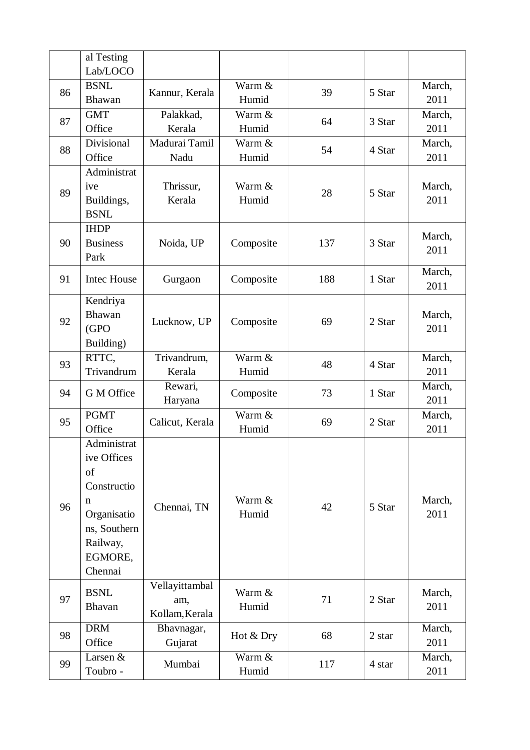|    | al Testing<br>Lab/LOCO                                                                                                |                                         |                 |     |        |                |
|----|-----------------------------------------------------------------------------------------------------------------------|-----------------------------------------|-----------------|-----|--------|----------------|
| 86 | <b>BSNL</b><br>Bhawan                                                                                                 | Kannur, Kerala                          | Warm &<br>Humid | 39  | 5 Star | March,<br>2011 |
| 87 | <b>GMT</b><br>Office                                                                                                  | Palakkad,<br>Kerala                     | Warm &<br>Humid | 64  | 3 Star | March,<br>2011 |
| 88 | Divisional<br>Office                                                                                                  | Madurai Tamil<br>Nadu                   | Warm &<br>Humid | 54  | 4 Star | March,<br>2011 |
| 89 | Administrat<br>ive<br>Buildings,<br><b>BSNL</b>                                                                       | Thrissur,<br>Kerala                     | Warm &<br>Humid | 28  | 5 Star | March,<br>2011 |
| 90 | <b>IHDP</b><br><b>Business</b><br>Park                                                                                | Noida, UP                               | Composite       | 137 | 3 Star | March,<br>2011 |
| 91 | <b>Intec House</b>                                                                                                    | Gurgaon                                 | Composite       | 188 | 1 Star | March,<br>2011 |
| 92 | Kendriya<br>Bhawan<br>(GPO)<br>Building)                                                                              | Lucknow, UP                             | Composite       | 69  | 2 Star | March,<br>2011 |
| 93 | RTTC,<br>Trivandrum                                                                                                   | Trivandrum,<br>Kerala                   | Warm &<br>Humid | 48  | 4 Star | March,<br>2011 |
| 94 | G M Office                                                                                                            | Rewari,<br>Haryana                      | Composite       | 73  | 1 Star | March,<br>2011 |
| 95 | <b>PGMT</b><br>Office                                                                                                 | Calicut, Kerala                         | Warm &<br>Humid | 69  | 2 Star | March,<br>2011 |
| 96 | Administrat<br>ive Offices<br>of<br>Constructio<br>n<br>Organisatio<br>ns, Southern<br>Railway,<br>EGMORE,<br>Chennai | Chennai, TN                             | Warm &<br>Humid | 42  | 5 Star | March,<br>2011 |
| 97 | <b>BSNL</b><br>Bhavan                                                                                                 | Vellayittambal<br>am,<br>Kollam, Kerala | Warm &<br>Humid | 71  | 2 Star | March,<br>2011 |
| 98 | <b>DRM</b><br>Office                                                                                                  | Bhavnagar,<br>Gujarat                   | Hot & Dry       | 68  | 2 star | March,<br>2011 |
| 99 | Larsen &<br>Toubro -                                                                                                  | Mumbai                                  | Warm &<br>Humid | 117 | 4 star | March,<br>2011 |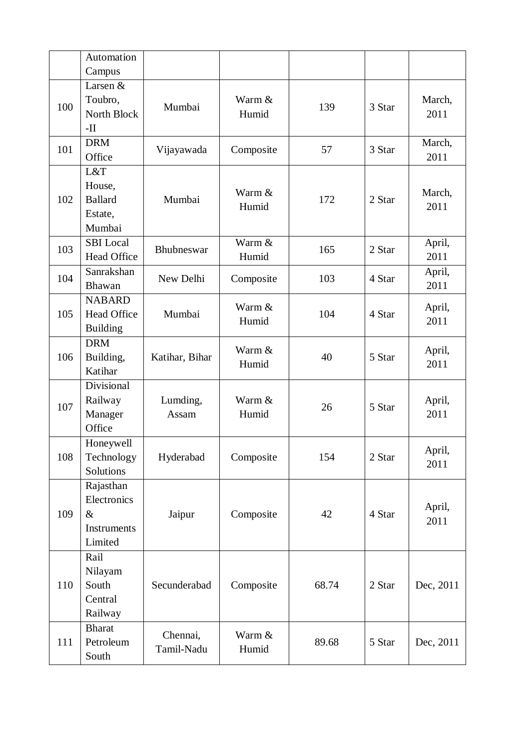|     | Automation                                                 |                        |                 |       |        |                |
|-----|------------------------------------------------------------|------------------------|-----------------|-------|--------|----------------|
|     | Campus                                                     |                        |                 |       |        |                |
| 100 | Larsen &<br>Toubro,<br>North Block<br>$-II$                | Mumbai                 | Warm &<br>Humid | 139   | 3 Star | March,<br>2011 |
| 101 | <b>DRM</b><br>Office                                       | Vijayawada             | Composite       | 57    | 3 Star | March,<br>2011 |
| 102 | L&T<br>House,<br><b>Ballard</b><br>Estate,<br>Mumbai       | Mumbai                 | Warm &<br>Humid | 172   | 2 Star | March,<br>2011 |
| 103 | <b>SBI</b> Local<br><b>Head Office</b>                     | Bhubneswar             | Warm &<br>Humid | 165   | 2 Star | April,<br>2011 |
| 104 | Sanrakshan<br><b>Bhawan</b>                                | New Delhi              | Composite       | 103   | 4 Star | April,<br>2011 |
| 105 | <b>NABARD</b><br><b>Head Office</b><br><b>Building</b>     | Mumbai                 | Warm &<br>Humid | 104   | 4 Star | April,<br>2011 |
| 106 | <b>DRM</b><br>Building,<br>Katihar                         | Katihar, Bihar         | Warm &<br>Humid | 40    | 5 Star | April,<br>2011 |
| 107 | Divisional<br>Railway<br>Manager<br>Office                 | Lumding,<br>Assam      | Warm &<br>Humid | 26    | 5 Star | April,<br>2011 |
| 108 | Honeywell<br>Technology<br>Solutions                       | Hyderabad              | Composite       | 154   | 2 Star | April,<br>2011 |
| 109 | Rajasthan<br>Electronics<br>$\&$<br>Instruments<br>Limited | Jaipur                 | Composite       | 42    | 4 Star | April,<br>2011 |
| 110 | Rail<br>Nilayam<br>South<br>Central<br>Railway             | Secunderabad           | Composite       | 68.74 | 2 Star | Dec, 2011      |
| 111 | <b>Bharat</b><br>Petroleum<br>South                        | Chennai,<br>Tamil-Nadu | Warm &<br>Humid | 89.68 | 5 Star | Dec, 2011      |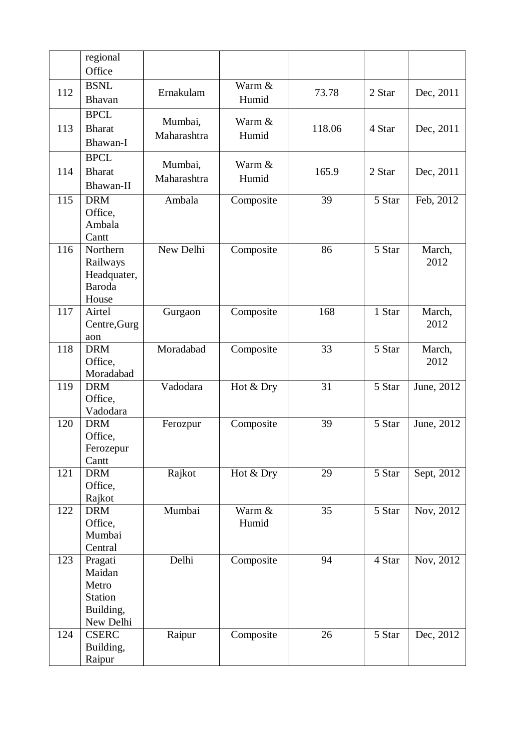|     | regional<br>Office    |             |           |        |                     |            |
|-----|-----------------------|-------------|-----------|--------|---------------------|------------|
|     |                       |             |           |        |                     |            |
| 112 | <b>BSNL</b>           | Ernakulam   | Warm &    | 73.78  | 2 Star              | Dec, 2011  |
|     | Bhavan                |             | Humid     |        |                     |            |
|     | <b>BPCL</b>           |             | Warm &    |        |                     |            |
| 113 | <b>Bharat</b>         | Mumbai,     |           | 118.06 | 4 Star              | Dec, 2011  |
|     | Bhawan-I              | Maharashtra | Humid     |        |                     |            |
|     | <b>BPCL</b>           |             |           |        |                     |            |
|     | <b>Bharat</b>         | Mumbai,     | Warm &    |        |                     |            |
| 114 |                       | Maharashtra | Humid     | 165.9  | 2 Star              | Dec, 2011  |
|     | Bhawan-II             |             |           |        |                     |            |
| 115 | <b>DRM</b>            | Ambala      | Composite | 39     | 5 Star              | Feb, 2012  |
|     | Office,               |             |           |        |                     |            |
|     | Ambala                |             |           |        |                     |            |
|     | Cantt                 |             |           |        |                     |            |
| 116 | Northern              | New Delhi   | Composite | 86     | 5 Star              | March,     |
|     | Railways              |             |           |        |                     | 2012       |
|     | Headquater,           |             |           |        |                     |            |
|     | <b>Baroda</b>         |             |           |        |                     |            |
|     | House                 |             |           |        |                     |            |
| 117 | Airtel                | Gurgaon     | Composite | 168    | 1 Star              | March,     |
|     | Centre, Gurg          |             |           |        |                     | 2012       |
|     | aon                   |             |           |        |                     |            |
| 118 | <b>DRM</b>            | Moradabad   | Composite | 33     | 5 Star              | March,     |
|     | Office,               |             |           |        |                     | 2012       |
|     | Moradabad             | Vadodara    |           | 31     |                     |            |
| 119 | <b>DRM</b><br>Office, |             | Hot & Dry |        | 5 Star              | June, 2012 |
|     | Vadodara              |             |           |        |                     |            |
| 120 | <b>DRM</b>            |             |           | 39     | 5 Star              | June, 2012 |
|     | Office,               | Ferozpur    | Composite |        |                     |            |
|     | Ferozepur             |             |           |        |                     |            |
|     | Cantt                 |             |           |        |                     |            |
| 121 | <b>DRM</b>            | Rajkot      | Hot & Dry | 29     | 5 Star              | Sept, 2012 |
|     | Office,               |             |           |        |                     |            |
|     | Rajkot                |             |           |        |                     |            |
| 122 | <b>DRM</b>            | Mumbai      | Warm &    | 35     | 5 Star              | Nov, 2012  |
|     | Office,               |             | Humid     |        |                     |            |
|     | Mumbai                |             |           |        |                     |            |
|     | Central               |             |           |        |                     |            |
| 123 | Pragati               | Delhi       | Composite | 94     | 4 Star              | Nov, 2012  |
|     | Maidan                |             |           |        |                     |            |
|     | Metro                 |             |           |        |                     |            |
|     | <b>Station</b>        |             |           |        |                     |            |
|     | Building,             |             |           |        |                     |            |
|     | New Delhi             |             |           |        |                     |            |
| 124 | <b>CSERC</b>          | Raipur      | Composite | 26     | $\overline{5}$ Star | Dec, 2012  |
|     | Building,             |             |           |        |                     |            |
|     | Raipur                |             |           |        |                     |            |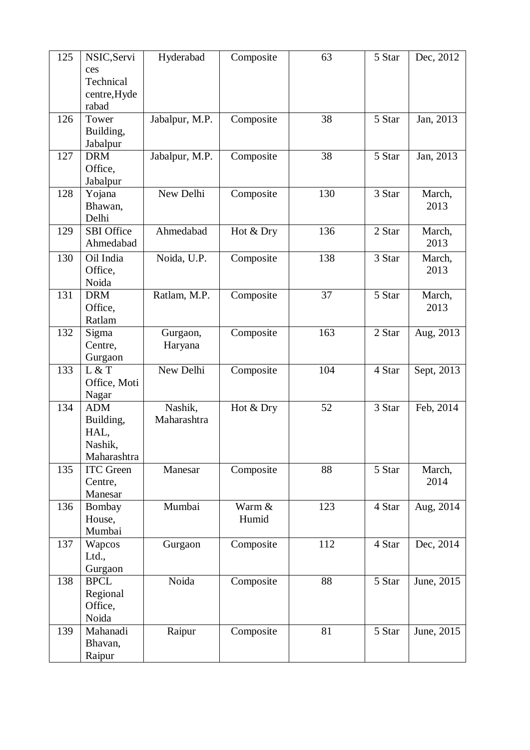| 125 | NSIC, Servi                     | Hyderabad      | Composite | 63  | 5 Star | Dec, 2012      |
|-----|---------------------------------|----------------|-----------|-----|--------|----------------|
|     | ces                             |                |           |     |        |                |
|     | Technical                       |                |           |     |        |                |
|     | centre, Hyde                    |                |           |     |        |                |
|     | rabad                           |                |           |     |        |                |
| 126 | Tower                           | Jabalpur, M.P. | Composite | 38  | 5 Star | Jan, 2013      |
|     | Building,                       |                |           |     |        |                |
|     | Jabalpur                        |                |           |     |        |                |
| 127 | <b>DRM</b>                      | Jabalpur, M.P. | Composite | 38  | 5 Star | Jan, 2013      |
|     | Office,                         |                |           |     |        |                |
| 128 | Jabalpur                        | New Delhi      | Composite | 130 | 3 Star | March,         |
|     | Yojana<br>Bhawan,               |                |           |     |        | 2013           |
|     | Delhi                           |                |           |     |        |                |
| 129 | <b>SBI</b> Office               | Ahmedabad      | Hot & Dry | 136 | 2 Star | March,         |
|     | Ahmedabad                       |                |           |     |        | 2013           |
| 130 | Oil India                       | Noida, U.P.    | Composite | 138 | 3 Star | March,         |
|     | Office,                         |                |           |     |        | 2013           |
|     | Noida                           |                |           |     |        |                |
| 131 | <b>DRM</b>                      | Ratlam, M.P.   | Composite | 37  | 5 Star | March,         |
|     | Office,                         |                |           |     |        | 2013           |
|     | Ratlam                          |                |           |     |        |                |
| 132 | Sigma                           | Gurgaon,       | Composite | 163 | 2 Star | Aug, 2013      |
|     | Centre,                         | Haryana        |           |     |        |                |
|     | Gurgaon                         |                |           |     |        |                |
| 133 | L & T                           | New Delhi      | Composite | 104 | 4 Star | Sept, 2013     |
|     | Office, Moti                    |                |           |     |        |                |
|     | Nagar                           |                |           |     |        |                |
| 134 | <b>ADM</b>                      | Nashik,        | Hot & Dry | 52  | 3 Star | Feb, 2014      |
|     | Building,                       | Maharashtra    |           |     |        |                |
|     | HAL,                            |                |           |     |        |                |
|     | Nashik,                         |                |           |     |        |                |
| 135 | Maharashtra<br><b>ITC</b> Green |                |           | 88  |        |                |
|     | Centre,                         | Manesar        | Composite |     | 5 Star | March,<br>2014 |
|     | Manesar                         |                |           |     |        |                |
| 136 | Bombay                          | Mumbai         | Warm &    | 123 | 4 Star | Aug, 2014      |
|     | House,                          |                | Humid     |     |        |                |
|     | Mumbai                          |                |           |     |        |                |
| 137 | Wapcos                          | Gurgaon        | Composite | 112 | 4 Star | Dec, 2014      |
|     | Ltd.,                           |                |           |     |        |                |
|     | Gurgaon                         |                |           |     |        |                |
| 138 | <b>BPCL</b>                     | Noida          | Composite | 88  | 5 Star | June, 2015     |
|     | Regional                        |                |           |     |        |                |
|     | Office,                         |                |           |     |        |                |
|     | Noida                           |                |           |     |        |                |
| 139 | Mahanadi                        | Raipur         | Composite | 81  | 5 Star | June, 2015     |
|     | Bhavan,                         |                |           |     |        |                |
|     | Raipur                          |                |           |     |        |                |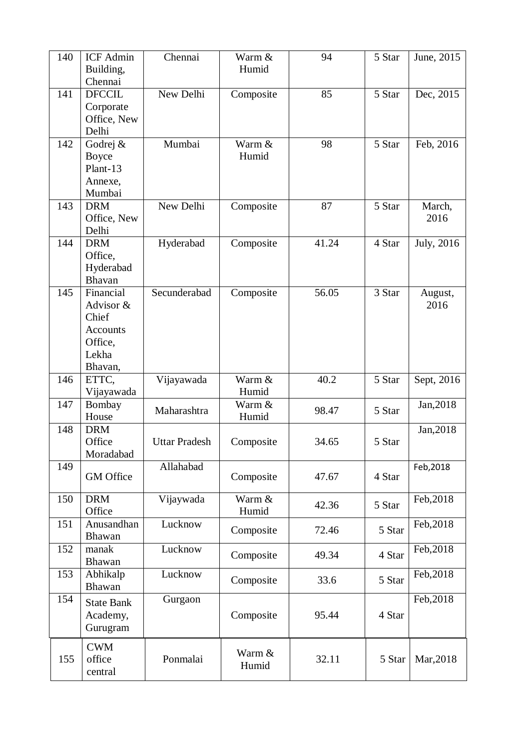| 140 | <b>ICF</b> Admin<br>Building,                                                     | Chennai              | Warm &<br>Humid | 94    | 5 Star | June, 2015      |
|-----|-----------------------------------------------------------------------------------|----------------------|-----------------|-------|--------|-----------------|
|     | Chennai                                                                           |                      |                 |       |        |                 |
| 141 | <b>DFCCIL</b><br>Corporate<br>Office, New<br>Delhi                                | New Delhi            | Composite       | 85    | 5 Star | Dec, 2015       |
| 142 | Godrej &<br><b>Boyce</b><br>Plant-13<br>Annexe,<br>Mumbai                         | Mumbai               | Warm &<br>Humid | 98    | 5 Star | Feb, 2016       |
| 143 | <b>DRM</b><br>Office, New<br>Delhi                                                | New Delhi            | Composite       | 87    | 5 Star | March,<br>2016  |
| 144 | <b>DRM</b><br>Office,<br>Hyderabad<br>Bhavan                                      | Hyderabad            | Composite       | 41.24 | 4 Star | July, 2016      |
| 145 | Financial<br>Advisor &<br>Chief<br><b>Accounts</b><br>Office,<br>Lekha<br>Bhavan, | Secunderabad         | Composite       | 56.05 | 3 Star | August,<br>2016 |
| 146 | ETTC,<br>Vijayawada                                                               | Vijayawada           | Warm &<br>Humid | 40.2  | 5 Star | Sept, 2016      |
| 147 | Bombay<br>House                                                                   | Maharashtra          | Warm &<br>Humid | 98.47 | 5 Star | Jan, 2018       |
| 148 | <b>DRM</b><br>Office<br>Moradabad                                                 | <b>Uttar Pradesh</b> | Composite       | 34.65 | 5 Star | Jan, 2018       |
| 149 | <b>GM</b> Office                                                                  | Allahabad            | Composite       | 47.67 | 4 Star | Feb, 2018       |
| 150 | <b>DRM</b><br>Office                                                              | Vijaywada            | Warm &<br>Humid | 42.36 | 5 Star | Feb, 2018       |
| 151 | Anusandhan<br>Bhawan                                                              | Lucknow              | Composite       | 72.46 | 5 Star | Feb, 2018       |
| 152 | manak<br>Bhawan                                                                   | Lucknow              | Composite       | 49.34 | 4 Star | Feb, 2018       |
| 153 | Abhikalp<br>Bhawan                                                                | Lucknow              | Composite       | 33.6  | 5 Star | Feb, 2018       |
| 154 | <b>State Bank</b><br>Academy,<br>Gurugram                                         | Gurgaon              | Composite       | 95.44 | 4 Star | Feb, 2018       |
| 155 | <b>CWM</b><br>office<br>central                                                   | Ponmalai             | Warm &<br>Humid | 32.11 | 5 Star | Mar, 2018       |